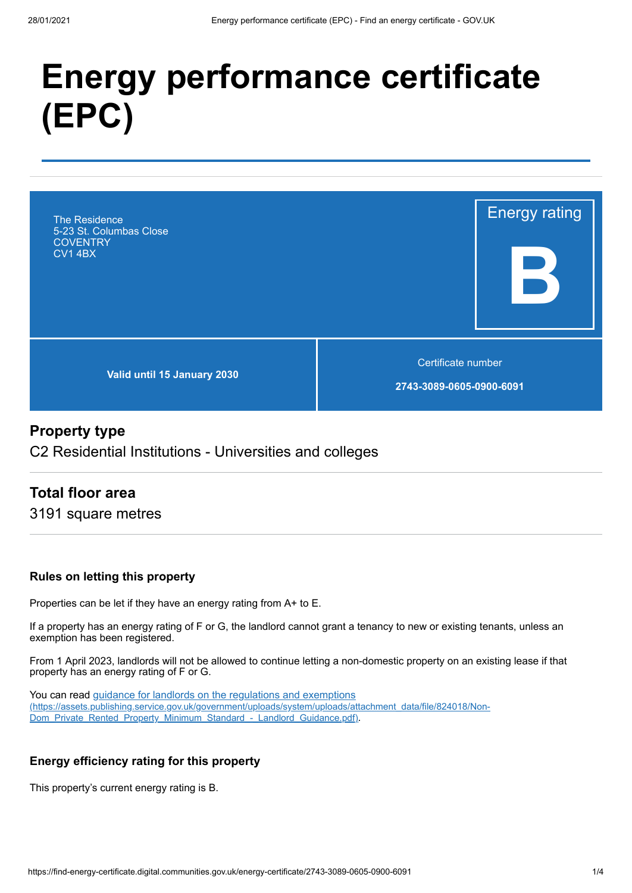# **Energy performance certificate (EPC)**



#### **Property type**

C2 Residential Institutions - Universities and colleges

#### **Total floor area**

3191 square metres

#### **Rules on letting this property**

Properties can be let if they have an energy rating from A+ to E.

If a property has an energy rating of F or G, the landlord cannot grant a tenancy to new or existing tenants, unless an exemption has been registered.

From 1 April 2023, landlords will not be allowed to continue letting a non-domestic property on an existing lease if that property has an energy rating of F or G.

You can read guidance for landlords on the regulations and exemptions [\(https://assets.publishing.service.gov.uk/government/uploads/system/uploads/attachment\\_data/file/824018/Non-](https://assets.publishing.service.gov.uk/government/uploads/system/uploads/attachment_data/file/824018/Non-Dom_Private_Rented_Property_Minimum_Standard_-_Landlord_Guidance.pdf)Dom\_Private\_Rented\_Property\_Minimum\_Standard\_-\_Landlord\_Guidance.pdf).

#### **Energy efficiency rating for this property**

This property's current energy rating is B.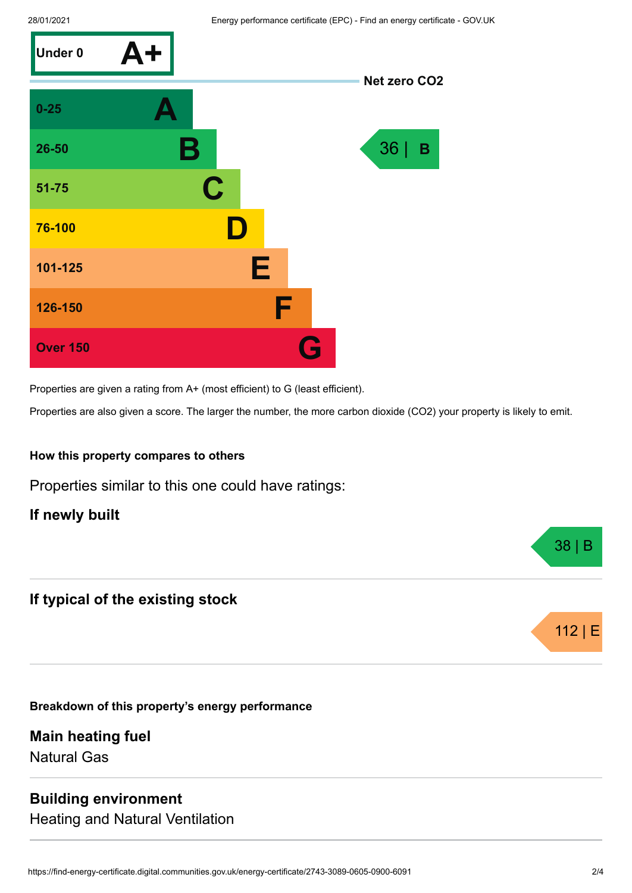

Properties are given a rating from A+ (most efficient) to G (least efficient).

Properties are also given a score. The larger the number, the more carbon dioxide (CO2) your property is likely to emit.

#### **How this property compares to others**

Properties similar to this one could have ratings:

**If newly built**

#### **If typical of the existing stock**

**Breakdown of this property's energy performance**

**Main heating fuel** Natural Gas

#### **Building environment**

Heating and Natural Ventilation



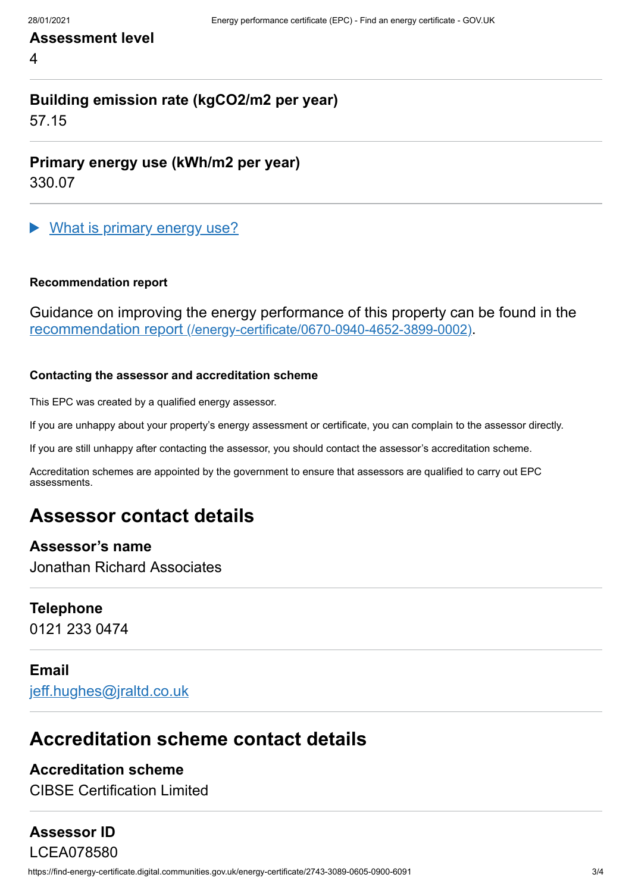## **Assessment level**

4

## **Building emission rate (kgCO2/m2 per year)**

57.15

**Primary energy use (kWh/m2 per year)**

330.07

What is primary energy use?

#### **Recommendation report**

Guidance on improving the energy performance of this property can be found in the recommendation report [\(/energy-certificate/0670-0940-4652-3899-0002\)](https://find-energy-certificate.digital.communities.gov.uk/energy-certificate/0670-0940-4652-3899-0002).

#### **Contacting the assessor and accreditation scheme**

This EPC was created by a qualified energy assessor.

If you are unhappy about your property's energy assessment or certificate, you can complain to the assessor directly.

If you are still unhappy after contacting the assessor, you should contact the assessor's accreditation scheme.

Accreditation schemes are appointed by the government to ensure that assessors are qualified to carry out EPC assessments.

## **Assessor contact details**

#### **Assessor's name**

Jonathan Richard Associates

#### **Telephone**

0121 233 0474

#### **Email**

[jeff.hughes@jraltd.co.uk](mailto:jeff.hughes@jraltd.co.uk)

## **Accreditation scheme contact details**

#### **Accreditation scheme**

CIBSE Certification Limited

## **Assessor ID**

https://find-energy-certificate.digital.communities.gov.uk/energy-certificate/2743-3089-0605-0900-6091 3/4 LCEA078580